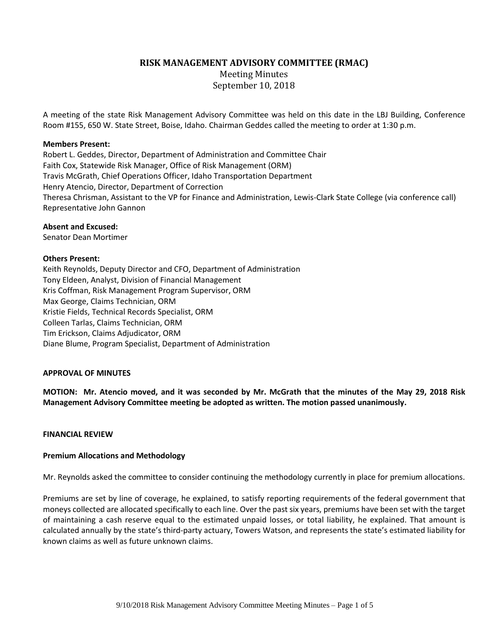## **RISK MANAGEMENT ADVISORY COMMITTEE (RMAC)**

Meeting Minutes September 10, 2018

A meeting of the state Risk Management Advisory Committee was held on this date in the LBJ Building, Conference Room #155, 650 W. State Street, Boise, Idaho. Chairman Geddes called the meeting to order at 1:30 p.m.

### **Members Present:**

Robert L. Geddes, Director, Department of Administration and Committee Chair Faith Cox, Statewide Risk Manager, Office of Risk Management (ORM) Travis McGrath, Chief Operations Officer, Idaho Transportation Department Henry Atencio, Director, Department of Correction Theresa Chrisman, Assistant to the VP for Finance and Administration, Lewis-Clark State College (via conference call) Representative John Gannon

### **Absent and Excused:**

Senator Dean Mortimer

## **Others Present:**

Keith Reynolds, Deputy Director and CFO, Department of Administration Tony Eldeen, Analyst, Division of Financial Management Kris Coffman, Risk Management Program Supervisor, ORM Max George, Claims Technician, ORM Kristie Fields, Technical Records Specialist, ORM Colleen Tarlas, Claims Technician, ORM Tim Erickson, Claims Adjudicator, ORM Diane Blume, Program Specialist, Department of Administration

## **APPROVAL OF MINUTES**

**MOTION: Mr. Atencio moved, and it was seconded by Mr. McGrath that the minutes of the May 29, 2018 Risk Management Advisory Committee meeting be adopted as written. The motion passed unanimously.**

### **FINANCIAL REVIEW**

## **Premium Allocations and Methodology**

Mr. Reynolds asked the committee to consider continuing the methodology currently in place for premium allocations.

Premiums are set by line of coverage, he explained, to satisfy reporting requirements of the federal government that moneys collected are allocated specifically to each line. Over the past six years, premiums have been set with the target of maintaining a cash reserve equal to the estimated unpaid losses, or total liability, he explained. That amount is calculated annually by the state's third-party actuary, Towers Watson, and represents the state's estimated liability for known claims as well as future unknown claims.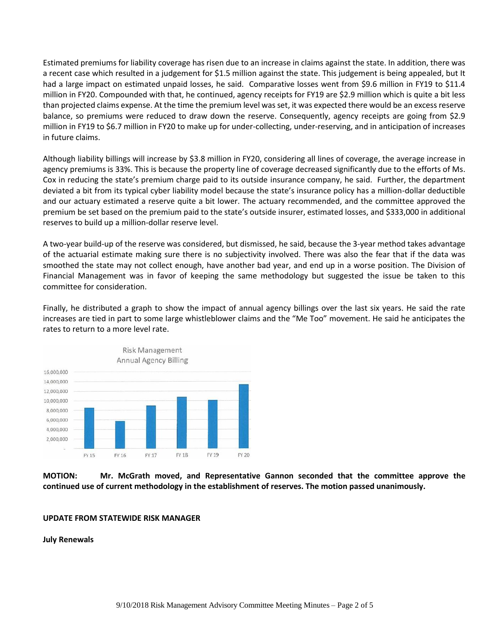Estimated premiums for liability coverage has risen due to an increase in claims against the state. In addition, there was a recent case which resulted in a judgement for \$1.5 million against the state. This judgement is being appealed, but It had a large impact on estimated unpaid losses, he said. Comparative losses went from \$9.6 million in FY19 to \$11.4 million in FY20. Compounded with that, he continued, agency receipts for FY19 are \$2.9 million which is quite a bit less than projected claims expense. At the time the premium level was set, it was expected there would be an excess reserve balance, so premiums were reduced to draw down the reserve. Consequently, agency receipts are going from \$2.9 million in FY19 to \$6.7 million in FY20 to make up for under-collecting, under-reserving, and in anticipation of increases in future claims.

Although liability billings will increase by \$3.8 million in FY20, considering all lines of coverage, the average increase in agency premiums is 33%. This is because the property line of coverage decreased significantly due to the efforts of Ms. Cox in reducing the state's premium charge paid to its outside insurance company, he said. Further, the department deviated a bit from its typical cyber liability model because the state's insurance policy has a million-dollar deductible and our actuary estimated a reserve quite a bit lower. The actuary recommended, and the committee approved the premium be set based on the premium paid to the state's outside insurer, estimated losses, and \$333,000 in additional reserves to build up a million-dollar reserve level.

A two-year build-up of the reserve was considered, but dismissed, he said, because the 3-year method takes advantage of the actuarial estimate making sure there is no subjectivity involved. There was also the fear that if the data was smoothed the state may not collect enough, have another bad year, and end up in a worse position. The Division of Financial Management was in favor of keeping the same methodology but suggested the issue be taken to this committee for consideration.

Finally, he distributed a graph to show the impact of annual agency billings over the last six years. He said the rate increases are tied in part to some large whistleblower claims and the "Me Too" movement. He said he anticipates the rates to return to a more level rate.



**MOTION: Mr. McGrath moved, and Representative Gannon seconded that the committee approve the continued use of current methodology in the establishment of reserves. The motion passed unanimously.**

### **UPDATE FROM STATEWIDE RISK MANAGER**

**July Renewals**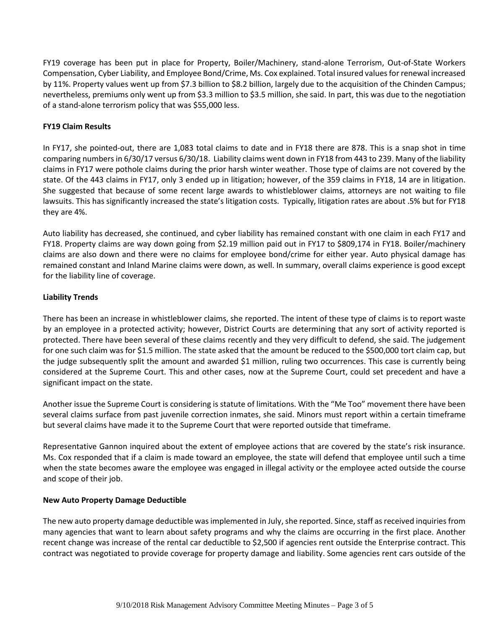FY19 coverage has been put in place for Property, Boiler/Machinery, stand-alone Terrorism, Out-of-State Workers Compensation, Cyber Liability, and Employee Bond/Crime, Ms. Cox explained. Total insured values for renewal increased by 11%. Property values went up from \$7.3 billion to \$8.2 billion, largely due to the acquisition of the Chinden Campus; nevertheless, premiums only went up from \$3.3 million to \$3.5 million, she said. In part, this was due to the negotiation of a stand-alone terrorism policy that was \$55,000 less.

# **FY19 Claim Results**

In FY17, she pointed-out, there are 1,083 total claims to date and in FY18 there are 878. This is a snap shot in time comparing numbers in 6/30/17 versus 6/30/18. Liability claims went down in FY18 from 443 to 239. Many of the liability claims in FY17 were pothole claims during the prior harsh winter weather. Those type of claims are not covered by the state. Of the 443 claims in FY17, only 3 ended up in litigation; however, of the 359 claims in FY18, 14 are in litigation. She suggested that because of some recent large awards to whistleblower claims, attorneys are not waiting to file lawsuits. This has significantly increased the state's litigation costs. Typically, litigation rates are about .5% but for FY18 they are 4%.

Auto liability has decreased, she continued, and cyber liability has remained constant with one claim in each FY17 and FY18. Property claims are way down going from \$2.19 million paid out in FY17 to \$809,174 in FY18. Boiler/machinery claims are also down and there were no claims for employee bond/crime for either year. Auto physical damage has remained constant and Inland Marine claims were down, as well. In summary, overall claims experience is good except for the liability line of coverage.

# **Liability Trends**

There has been an increase in whistleblower claims, she reported. The intent of these type of claims is to report waste by an employee in a protected activity; however, District Courts are determining that any sort of activity reported is protected. There have been several of these claims recently and they very difficult to defend, she said. The judgement for one such claim was for \$1.5 million. The state asked that the amount be reduced to the \$500,000 tort claim cap, but the judge subsequently split the amount and awarded \$1 million, ruling two occurrences. This case is currently being considered at the Supreme Court. This and other cases, now at the Supreme Court, could set precedent and have a significant impact on the state.

Another issue the Supreme Court is considering is statute of limitations. With the "Me Too" movement there have been several claims surface from past juvenile correction inmates, she said. Minors must report within a certain timeframe but several claims have made it to the Supreme Court that were reported outside that timeframe.

Representative Gannon inquired about the extent of employee actions that are covered by the state's risk insurance. Ms. Cox responded that if a claim is made toward an employee, the state will defend that employee until such a time when the state becomes aware the employee was engaged in illegal activity or the employee acted outside the course and scope of their job.

## **New Auto Property Damage Deductible**

The new auto property damage deductible was implemented in July, she reported. Since, staff as received inquiries from many agencies that want to learn about safety programs and why the claims are occurring in the first place. Another recent change was increase of the rental car deductible to \$2,500 if agencies rent outside the Enterprise contract. This contract was negotiated to provide coverage for property damage and liability. Some agencies rent cars outside of the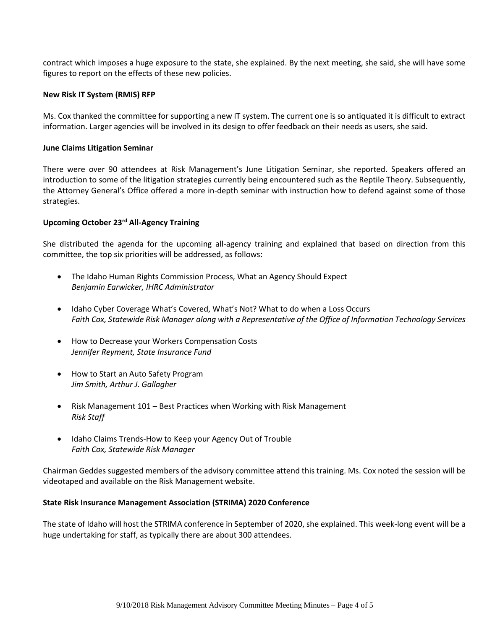contract which imposes a huge exposure to the state, she explained. By the next meeting, she said, she will have some figures to report on the effects of these new policies.

### **New Risk IT System (RMIS) RFP**

Ms. Cox thanked the committee for supporting a new IT system. The current one is so antiquated it is difficult to extract information. Larger agencies will be involved in its design to offer feedback on their needs as users, she said.

### **June Claims Litigation Seminar**

There were over 90 attendees at Risk Management's June Litigation Seminar, she reported. Speakers offered an introduction to some of the litigation strategies currently being encountered such as the Reptile Theory. Subsequently, the Attorney General's Office offered a more in-depth seminar with instruction how to defend against some of those strategies.

## **Upcoming October 23rd All-Agency Training**

She distributed the agenda for the upcoming all-agency training and explained that based on direction from this committee, the top six priorities will be addressed, as follows:

- The Idaho Human Rights Commission Process, What an Agency Should Expect *Benjamin Earwicker, IHRC Administrator*
- Idaho Cyber Coverage What's Covered, What's Not? What to do when a Loss Occurs *Faith Cox, Statewide Risk Manager along with a Representative of the Office of Information Technology Services*
- How to Decrease your Workers Compensation Costs *Jennifer Reyment, State Insurance Fund*
- How to Start an Auto Safety Program *Jim Smith, Arthur J. Gallagher*
- Risk Management 101 Best Practices when Working with Risk Management *Risk Staff*
- Idaho Claims Trends-How to Keep your Agency Out of Trouble *Faith Cox, Statewide Risk Manager*

Chairman Geddes suggested members of the advisory committee attend this training. Ms. Cox noted the session will be videotaped and available on the Risk Management website.

### **State Risk Insurance Management Association (STRIMA) 2020 Conference**

The state of Idaho will host the STRIMA conference in September of 2020, she explained. This week-long event will be a huge undertaking for staff, as typically there are about 300 attendees.